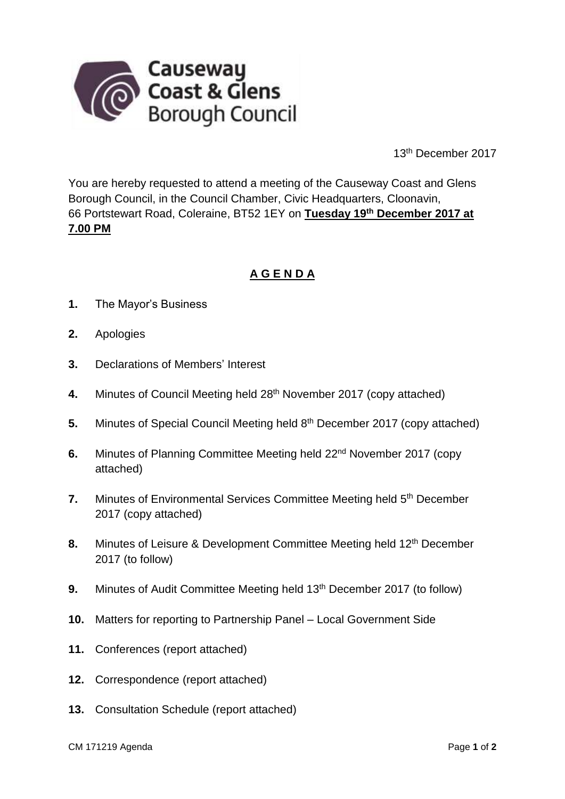

13th December 2017

You are hereby requested to attend a meeting of the Causeway Coast and Glens Borough Council, in the Council Chamber, Civic Headquarters, Cloonavin, 66 Portstewart Road, Coleraine, BT52 1EY on **Tuesday 19th December 2017 at 7.00 PM**

# **A G E N D A**

- **1.** The Mayor's Business
- **2.** Apologies
- **3.** Declarations of Members' Interest
- 4. Minutes of Council Meeting held 28<sup>th</sup> November 2017 (copy attached)
- **5.** Minutes of Special Council Meeting held 8<sup>th</sup> December 2017 (copy attached)
- **6.** Minutes of Planning Committee Meeting held 22<sup>nd</sup> November 2017 (copy attached)
- **7.** Minutes of Environmental Services Committee Meeting held 5<sup>th</sup> December 2017 (copy attached)
- **8.** Minutes of Leisure & Development Committee Meeting held 12<sup>th</sup> December 2017 (to follow)
- **9.** Minutes of Audit Committee Meeting held 13<sup>th</sup> December 2017 (to follow)
- **10.** Matters for reporting to Partnership Panel Local Government Side
- **11.** Conferences (report attached)
- **12.** Correspondence (report attached)
- **13.** Consultation Schedule (report attached)